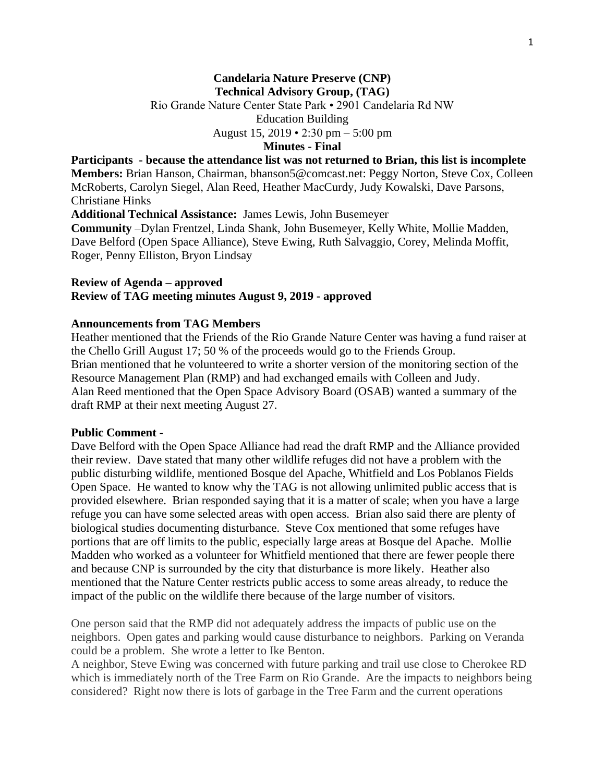#### **Candelaria Nature Preserve (CNP) Technical Advisory Group, (TAG)**

Rio Grande Nature Center State Park • 2901 Candelaria Rd NW

Education Building

August 15, 2019 • 2:30 pm – 5:00 pm

# **Minutes - Final**

**Participants - because the attendance list was not returned to Brian, this list is incomplete Members:** Brian Hanson, Chairman, bhanson5@comcast.net: Peggy Norton, Steve Cox, Colleen McRoberts, Carolyn Siegel, Alan Reed, Heather MacCurdy, Judy Kowalski, Dave Parsons, Christiane Hinks **Additional Technical Assistance:** James Lewis, John Busemeyer

**Community** –Dylan Frentzel, Linda Shank, John Busemeyer, Kelly White, Mollie Madden, Dave Belford (Open Space Alliance), Steve Ewing, Ruth Salvaggio, Corey, Melinda Moffit, Roger, Penny Elliston, Bryon Lindsay

## **Review of Agenda – approved Review of TAG meeting minutes August 9, 2019 - approved**

### **Announcements from TAG Members**

Heather mentioned that the Friends of the Rio Grande Nature Center was having a fund raiser at the Chello Grill August 17; 50 % of the proceeds would go to the Friends Group. Brian mentioned that he volunteered to write a shorter version of the monitoring section of the Resource Management Plan (RMP) and had exchanged emails with Colleen and Judy. Alan Reed mentioned that the Open Space Advisory Board (OSAB) wanted a summary of the draft RMP at their next meeting August 27.

#### **Public Comment -**

Dave Belford with the Open Space Alliance had read the draft RMP and the Alliance provided their review. Dave stated that many other wildlife refuges did not have a problem with the public disturbing wildlife, mentioned Bosque del Apache, Whitfield and Los Poblanos Fields Open Space. He wanted to know why the TAG is not allowing unlimited public access that is provided elsewhere. Brian responded saying that it is a matter of scale; when you have a large refuge you can have some selected areas with open access. Brian also said there are plenty of biological studies documenting disturbance. Steve Cox mentioned that some refuges have portions that are off limits to the public, especially large areas at Bosque del Apache. Mollie Madden who worked as a volunteer for Whitfield mentioned that there are fewer people there and because CNP is surrounded by the city that disturbance is more likely. Heather also mentioned that the Nature Center restricts public access to some areas already, to reduce the impact of the public on the wildlife there because of the large number of visitors.

One person said that the RMP did not adequately address the impacts of public use on the neighbors. Open gates and parking would cause disturbance to neighbors. Parking on Veranda could be a problem. She wrote a letter to Ike Benton.

A neighbor, Steve Ewing was concerned with future parking and trail use close to Cherokee RD which is immediately north of the Tree Farm on Rio Grande. Are the impacts to neighbors being considered? Right now there is lots of garbage in the Tree Farm and the current operations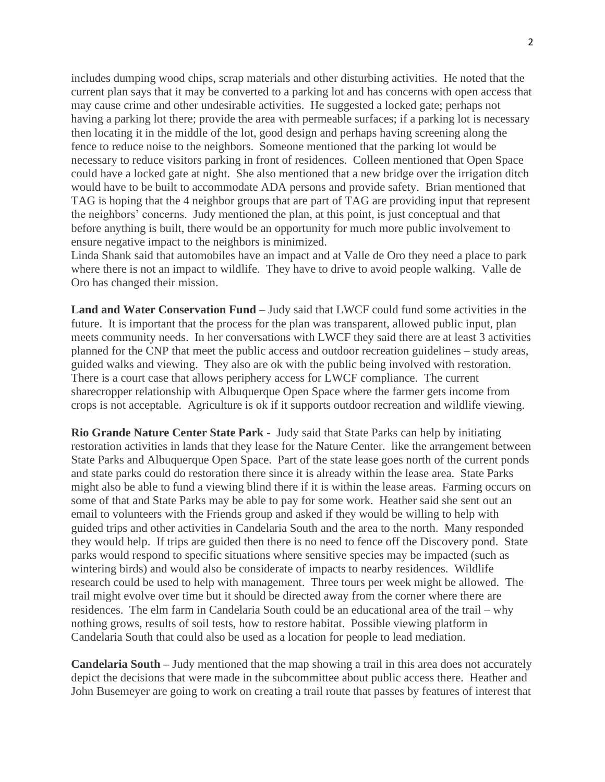includes dumping wood chips, scrap materials and other disturbing activities. He noted that the current plan says that it may be converted to a parking lot and has concerns with open access that may cause crime and other undesirable activities. He suggested a locked gate; perhaps not having a parking lot there; provide the area with permeable surfaces; if a parking lot is necessary then locating it in the middle of the lot, good design and perhaps having screening along the fence to reduce noise to the neighbors. Someone mentioned that the parking lot would be necessary to reduce visitors parking in front of residences. Colleen mentioned that Open Space could have a locked gate at night. She also mentioned that a new bridge over the irrigation ditch would have to be built to accommodate ADA persons and provide safety. Brian mentioned that TAG is hoping that the 4 neighbor groups that are part of TAG are providing input that represent the neighbors' concerns. Judy mentioned the plan, at this point, is just conceptual and that before anything is built, there would be an opportunity for much more public involvement to ensure negative impact to the neighbors is minimized.

Linda Shank said that automobiles have an impact and at Valle de Oro they need a place to park where there is not an impact to wildlife. They have to drive to avoid people walking. Valle de Oro has changed their mission.

**Land and Water Conservation Fund** – Judy said that LWCF could fund some activities in the future. It is important that the process for the plan was transparent, allowed public input, plan meets community needs. In her conversations with LWCF they said there are at least 3 activities planned for the CNP that meet the public access and outdoor recreation guidelines – study areas, guided walks and viewing. They also are ok with the public being involved with restoration. There is a court case that allows periphery access for LWCF compliance. The current sharecropper relationship with Albuquerque Open Space where the farmer gets income from crops is not acceptable. Agriculture is ok if it supports outdoor recreation and wildlife viewing.

**Rio Grande Nature Center State Park** - Judy said that State Parks can help by initiating restoration activities in lands that they lease for the Nature Center. like the arrangement between State Parks and Albuquerque Open Space. Part of the state lease goes north of the current ponds and state parks could do restoration there since it is already within the lease area. State Parks might also be able to fund a viewing blind there if it is within the lease areas. Farming occurs on some of that and State Parks may be able to pay for some work. Heather said she sent out an email to volunteers with the Friends group and asked if they would be willing to help with guided trips and other activities in Candelaria South and the area to the north. Many responded they would help. If trips are guided then there is no need to fence off the Discovery pond. State parks would respond to specific situations where sensitive species may be impacted (such as wintering birds) and would also be considerate of impacts to nearby residences. Wildlife research could be used to help with management. Three tours per week might be allowed. The trail might evolve over time but it should be directed away from the corner where there are residences. The elm farm in Candelaria South could be an educational area of the trail – why nothing grows, results of soil tests, how to restore habitat. Possible viewing platform in Candelaria South that could also be used as a location for people to lead mediation.

**Candelaria South –** Judy mentioned that the map showing a trail in this area does not accurately depict the decisions that were made in the subcommittee about public access there. Heather and John Busemeyer are going to work on creating a trail route that passes by features of interest that